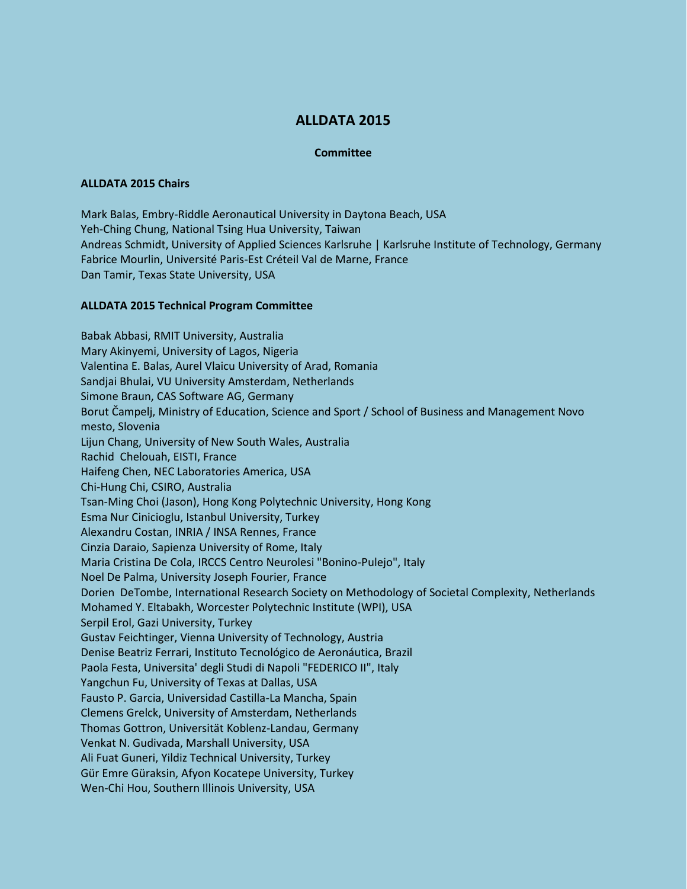# **ALLDATA 2015**

#### **Committee**

## **ALLDATA 2015 Chairs**

Mark Balas, Embry-Riddle Aeronautical University in Daytona Beach, USA Yeh-Ching Chung, National Tsing Hua University, Taiwan Andreas Schmidt, University of Applied Sciences Karlsruhe | Karlsruhe Institute of Technology, Germany Fabrice Mourlin, Université Paris-Est Créteil Val de Marne, France Dan Tamir, Texas State University, USA

## **ALLDATA 2015 Technical Program Committee**

Babak Abbasi, RMIT University, Australia Mary Akinyemi, University of Lagos, Nigeria Valentina E. Balas, Aurel Vlaicu University of Arad, Romania Sandjai Bhulai, VU University Amsterdam, Netherlands Simone Braun, CAS Software AG, Germany Borut Čampelj, Ministry of Education, Science and Sport / School of Business and Management Novo mesto, Slovenia Lijun Chang, University of New South Wales, Australia Rachid Chelouah, EISTI, France Haifeng Chen, NEC Laboratories America, USA Chi-Hung Chi, CSIRO, Australia Tsan-Ming Choi (Jason), Hong Kong Polytechnic University, Hong Kong Esma Nur Cinicioglu, Istanbul University, Turkey Alexandru Costan, INRIA / INSA Rennes, France Cinzia Daraio, Sapienza University of Rome, Italy Maria Cristina De Cola, IRCCS Centro Neurolesi "Bonino-Pulejo", Italy Noel De Palma, University Joseph Fourier, France Dorien DeTombe, International Research Society on Methodology of Societal Complexity, Netherlands Mohamed Y. Eltabakh, Worcester Polytechnic Institute (WPI), USA Serpil Erol, Gazi University, Turkey Gustav Feichtinger, Vienna University of Technology, Austria Denise Beatriz Ferrari, Instituto Tecnológico de Aeronáutica, Brazil Paola Festa, Universita' degli Studi di Napoli "FEDERICO II", Italy Yangchun Fu, University of Texas at Dallas, USA Fausto P. Garcia, Universidad Castilla-La Mancha, Spain Clemens Grelck, University of Amsterdam, Netherlands Thomas Gottron, Universität Koblenz-Landau, Germany Venkat N. Gudivada, Marshall University, USA Ali Fuat Guneri, Yildiz Technical University, Turkey Gür Emre Güraksin, Afyon Kocatepe University, Turkey Wen-Chi Hou, Southern Illinois University, USA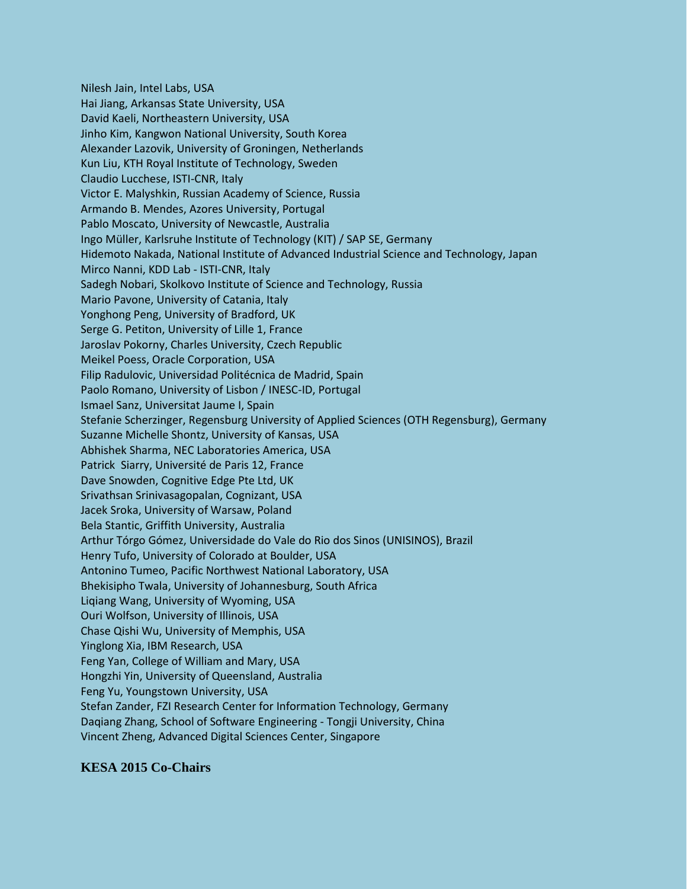Nilesh Jain, Intel Labs, USA Hai Jiang, Arkansas State University, USA David Kaeli, Northeastern University, USA Jinho Kim, Kangwon National University, South Korea Alexander Lazovik, University of Groningen, Netherlands Kun Liu, KTH Royal Institute of Technology, Sweden Claudio Lucchese, ISTI-CNR, Italy Victor E. Malyshkin, Russian Academy of Science, Russia Armando B. Mendes, Azores University, Portugal Pablo Moscato, University of Newcastle, Australia Ingo Müller, Karlsruhe Institute of Technology (KIT) / SAP SE, Germany Hidemoto Nakada, National Institute of Advanced Industrial Science and Technology, Japan Mirco Nanni, KDD Lab - ISTI-CNR, Italy Sadegh Nobari, Skolkovo Institute of Science and Technology, Russia Mario Pavone, University of Catania, Italy Yonghong Peng, University of Bradford, UK Serge G. Petiton, University of Lille 1, France Jaroslav Pokorny, Charles University, Czech Republic Meikel Poess, Oracle Corporation, USA Filip Radulovic, Universidad Politécnica de Madrid, Spain Paolo Romano, University of Lisbon / INESC-ID, Portugal Ismael Sanz, Universitat Jaume I, Spain Stefanie Scherzinger, Regensburg University of Applied Sciences (OTH Regensburg), Germany Suzanne Michelle Shontz, University of Kansas, USA Abhishek Sharma, NEC Laboratories America, USA Patrick Siarry, Université de Paris 12, France Dave Snowden, Cognitive Edge Pte Ltd, UK Srivathsan Srinivasagopalan, Cognizant, USA Jacek Sroka, University of Warsaw, Poland Bela Stantic, Griffith University, Australia Arthur Tórgo Gómez, Universidade do Vale do Rio dos Sinos (UNISINOS), Brazil Henry Tufo, University of Colorado at Boulder, USA Antonino Tumeo, Pacific Northwest National Laboratory, USA Bhekisipho Twala, University of Johannesburg, South Africa Liqiang Wang, University of Wyoming, USA Ouri Wolfson, University of Illinois, USA Chase Qishi Wu, University of Memphis, USA Yinglong Xia, IBM Research, USA Feng Yan, College of William and Mary, USA Hongzhi Yin, University of Queensland, Australia Feng Yu, Youngstown University, USA Stefan Zander, FZI Research Center for Information Technology, Germany Daqiang Zhang, School of Software Engineering - Tongji University, China Vincent Zheng, Advanced Digital Sciences Center, Singapore

## **KESA 2015 Co-Chairs**